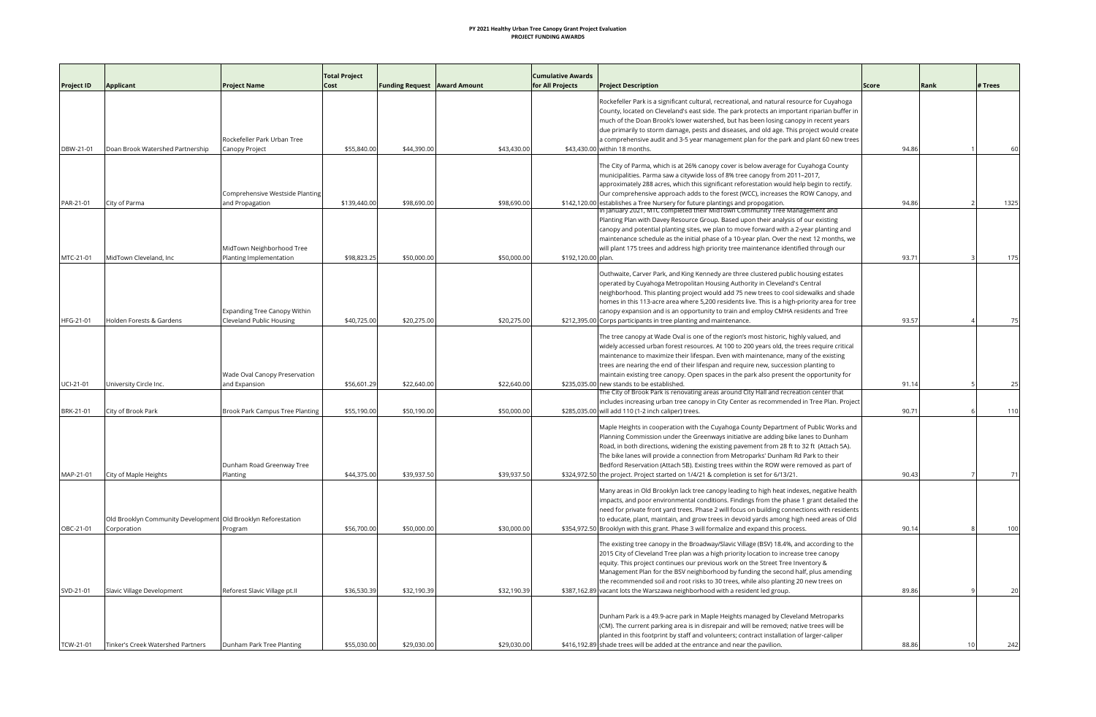## **PY 2021 Healthy Urban Tree Canopy Grant Project Evaluation PROJECT FUNDING AWARDS**

| <b>Project ID</b>      | <b>Applicant</b>                                                             | <b>Project Name</b>                                                                  | <b>Total Project</b><br>Cost | Funding Request Award Amount |                            | <b>Cumulative Awards</b><br>for All Projects | <b>Project Description</b>                                                                                                                                                                                                                                                                                                                                                                                                                                                                                                                     | <b>Score</b>   | Rank | # Trees   |
|------------------------|------------------------------------------------------------------------------|--------------------------------------------------------------------------------------|------------------------------|------------------------------|----------------------------|----------------------------------------------|------------------------------------------------------------------------------------------------------------------------------------------------------------------------------------------------------------------------------------------------------------------------------------------------------------------------------------------------------------------------------------------------------------------------------------------------------------------------------------------------------------------------------------------------|----------------|------|-----------|
| DBW-21-01              | Doan Brook Watershed Partnership                                             | Rockefeller Park Urban Tree<br>Canopy Project                                        | \$55,840.00                  | \$44,390.00                  | \$43,430.00                |                                              | Rockefeller Park is a significant cultural, recreational, and natural resource for Cuyahoga<br>County, located on Cleveland's east side. The park protects an important riparian buffer in<br>much of the Doan Brook's lower watershed, but has been losing canopy in recent years<br>due primarily to storm damage, pests and diseases, and old age. This project would create<br>a comprehensive audit and 3-5 year management plan for the park and plant 60 new trees<br>\$43,430.00 within 18 months.                                     | 94.86          |      | 60        |
|                        |                                                                              | Comprehensive Westside Planting                                                      |                              |                              |                            |                                              | The City of Parma, which is at 26% canopy cover is below average for Cuyahoga County<br>municipalities. Parma saw a citywide loss of 8% tree canopy from 2011-2017,<br>approximately 288 acres, which this significant reforestation would help begin to rectify.<br>Our comprehensive approach adds to the forest (WCC), increases the ROW Canopy, and                                                                                                                                                                                        |                |      |           |
| PAR-21-01              | City of Parma                                                                | and Propagation                                                                      | \$139,440.00                 | \$98,690.00                  | \$98,690.00                |                                              | \$142,120.00 establishes a Tree Nursery for future plantings and propogation.<br>n January 2021, MTC completed their MidTown Community Tree Management and<br>Planting Plan with Davey Resource Group. Based upon their analysis of our existing<br>canopy and potential planting sites, we plan to move forward with a 2-year planting and<br>maintenance schedule as the initial phase of a 10-year plan. Over the next 12 months, we                                                                                                        | 94.86          |      | 1325      |
| MTC-21-01              | MidTown Cleveland, Inc                                                       | MidTown Neighborhood Tree<br>Planting Implementation<br>Expanding Tree Canopy Within | \$98,823.25                  | \$50,000.00                  | \$50,000.00                | \$192,120.00 plan.                           | will plant 175 trees and address high priority tree maintenance identified through our<br>Outhwaite, Carver Park, and King Kennedy are three clustered public housing estates<br>operated by Cuyahoga Metropolitan Housing Authority in Cleveland's Central<br>neighborhood. This planting project would add 75 new trees to cool sidewalks and shade<br>homes in this 113-acre area where 5,200 residents live. This is a high-priority area for tree<br>canopy expansion and is an opportunity to train and employ CMHA residents and Tree   | 93.71          |      | 175       |
| HFG-21-01              | Holden Forests & Gardens                                                     | Cleveland Public Housing<br>Wade Oval Canopy Preservation                            | \$40,725.00                  | \$20,275.00                  | \$20,275.00                |                                              | \$212,395.00 Corps participants in tree planting and maintenance.<br>The tree canopy at Wade Oval is one of the region's most historic, highly valued, and<br>widely accessed urban forest resources. At 100 to 200 years old, the trees require critical<br>maintenance to maximize their lifespan. Even with maintenance, many of the existing<br>trees are nearing the end of their lifespan and require new, succession planting to<br>maintain existing tree canopy. Open spaces in the park also present the opportunity for             | 93.57          |      | 75        |
| UCI-21-01<br>BRK-21-01 | University Circle Inc.<br>City of Brook Park                                 | and Expansion<br>Brook Park Campus Tree Planting                                     | \$56,601.29<br>\$55,190.00   | \$22,640.00<br>\$50,190.00   | \$22,640.00<br>\$50,000.00 |                                              | \$235,035.00 new stands to be established<br>The City of Brook Park is renovating areas around City Hall and recreation center that<br>includes increasing urban tree canopy in City Center as recommended in Tree Plan. Project<br>\$285,035.00 will add 110 (1-2 inch caliper) trees.                                                                                                                                                                                                                                                        | 91.14<br>90.71 |      | 25<br>110 |
| MAP-21-01              | City of Maple Heights                                                        | Dunham Road Greenway Tree<br>Planting                                                | \$44,375.00                  | \$39,937.50                  | \$39,937.50                |                                              | Maple Heights in cooperation with the Cuyahoga County Department of Public Works and<br>Planning Commission under the Greenways initiative are adding bike lanes to Dunham<br>Road, in both directions, widening the existing pavement from 28 ft to 32 ft (Attach 5A).<br>The bike lanes will provide a connection from Metroparks' Dunham Rd Park to their<br>Bedford Reservation (Attach 5B). Existing trees within the ROW were removed as part of<br>\$324,972.50 the project. Project started on 1/4/21 & completion is set for 6/13/21. | 90.43          |      | 71        |
| OBC-21-01              | Old Brooklyn Community Development Old Brooklyn Reforestation<br>Corporation | Program                                                                              | \$56,700.00                  | \$50,000.00                  | \$30,000.00                |                                              | Many areas in Old Brooklyn lack tree canopy leading to high heat indexes, negative health<br>impacts, and poor environmental conditions. Findings from the phase 1 grant detailed the<br>need for private front yard trees. Phase 2 will focus on building connections with residents<br>to educate, plant, maintain, and grow trees in devoid yards among high need areas of Old<br>\$354,972.50 Brooklyn with this grant. Phase 3 will formalize and expand this process.                                                                    | 90.14          |      | 100       |
| SVD-21-01              | Slavic Village Development                                                   | Reforest Slavic Village pt.II                                                        | \$36,530.39                  | \$32,190.39                  | \$32,190.39                |                                              | The existing tree canopy in the Broadway/Slavic Village (BSV) 18.4%, and according to the<br>2015 City of Cleveland Tree plan was a high priority location to increase tree canopy<br>equity. This project continues our previous work on the Street Tree Inventory &<br>Management Plan for the BSV neighborhood by funding the second half, plus amending<br>the recommended soil and root risks to 30 trees, while also planting 20 new trees on<br>\$387,162.89 vacant lots the Warszawa neighborhood with a resident led group.           | 89.86          |      | 20        |
| TCW-21-01              | Tinker's Creek Watershed Partners                                            | Dunham Park Tree Planting                                                            | \$55,030.00                  | \$29,030.00                  | \$29,030.00                |                                              | Dunham Park is a 49.9-acre park in Maple Heights managed by Cleveland Metroparks<br>(CM). The current parking area is in disrepair and will be removed; native trees will be<br>planted in this footprint by staff and volunteers; contract installation of larger-caliper<br>\$416,192.89 shade trees will be added at the entrance and near the pavilion.                                                                                                                                                                                    | 88.86          | 10   | 242       |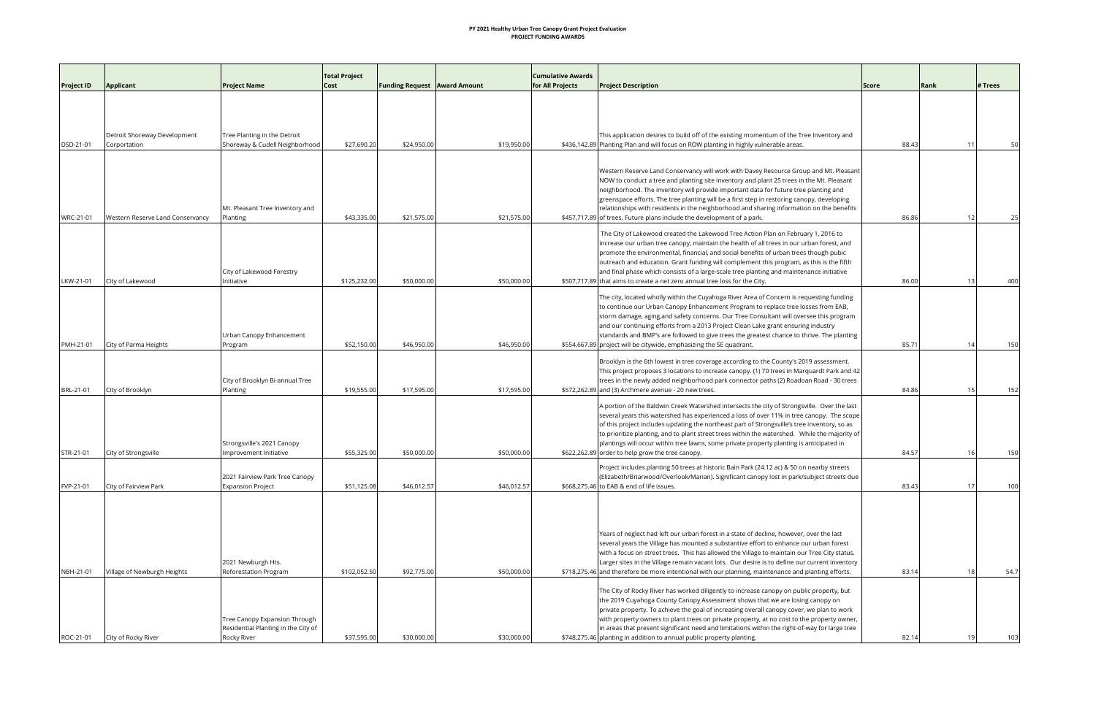## **PY 2021 Healthy Urban Tree Canopy Grant Project Evaluation PROJECT FUNDING AWARDS**

| Project ID | Applicant                        | <b>Project Name</b>                                                                 | <b>Total Project</b><br>Cost | <b>Funding Request Award Amount</b> |             | <b>Cumulative Awards</b><br>for All Projects | <b>Project Description</b>                                                                                                                                                                                                                                                                                                                                                                                                                                                                                                                                                             | Score | Rank | # Trees |      |
|------------|----------------------------------|-------------------------------------------------------------------------------------|------------------------------|-------------------------------------|-------------|----------------------------------------------|----------------------------------------------------------------------------------------------------------------------------------------------------------------------------------------------------------------------------------------------------------------------------------------------------------------------------------------------------------------------------------------------------------------------------------------------------------------------------------------------------------------------------------------------------------------------------------------|-------|------|---------|------|
|            |                                  |                                                                                     |                              |                                     |             |                                              |                                                                                                                                                                                                                                                                                                                                                                                                                                                                                                                                                                                        |       |      |         |      |
|            |                                  |                                                                                     |                              |                                     |             |                                              |                                                                                                                                                                                                                                                                                                                                                                                                                                                                                                                                                                                        |       |      |         |      |
|            | Detroit Shoreway Development     | Tree Planting in the Detroit                                                        |                              |                                     |             |                                              | This application desires to build off of the existing momentum of the Tree Inventory and                                                                                                                                                                                                                                                                                                                                                                                                                                                                                               |       |      |         |      |
| DSD-21-01  | Corportation                     | Shoreway & Cudell Neighborhood                                                      | \$27,690.20                  | \$24,950.00                         | \$19,950.00 |                                              | \$436,142.89 Planting Plan and will focus on ROW planting in highly vulnerable areas.                                                                                                                                                                                                                                                                                                                                                                                                                                                                                                  | 88.43 |      | 11      | 50   |
| WRC-21-01  | Western Reserve Land Conservancy | Mt. Pleasant Tree Inventory and<br>Planting                                         | \$43,335.00                  | \$21,575.00                         | \$21,575.00 |                                              | Western Reserve Land Conservancy will work with Davey Resource Group and Mt. Pleasant<br>NOW to conduct a tree and planting site inventory and plant 25 trees in the Mt. Pleasant<br>neighborhood. The inventory will provide important data for future tree planting and<br>greenspace efforts. The tree planting will be a first step in restoring canopy, developing<br>relationships with residents in the neighborhood and sharing information on the benefits<br>\$457,717.89 of trees. Future plans include the development of a park.                                          | 86.86 |      | 12      | 25   |
| LKW-21-01  | City of Lakewood                 | City of Lakewood Forestry<br>Initiative                                             | \$125,232.00                 | \$50,000.00                         | \$50,000.00 |                                              | The City of Lakewood created the Lakewood Tree Action Plan on February 1, 2016 to<br>increase our urban tree canopy, maintain the health of all trees in our urban forest, and<br>promote the environmental, financial, and social benefits of urban trees though pubic<br>outreach and education. Grant funding will complement this program, as this is the fifth<br>and final phase which consists of a large-scale tree planting and maintenance initiative<br>\$507,717.89 that aims to create a net zero annual tree loss for the City.                                          | 86.00 |      | 13      | 400  |
| PMH-21-01  | City of Parma Heights            | Urban Canopy Enhancement<br>Program                                                 | \$52,150.00                  | \$46,950.00                         | \$46,950.00 |                                              | The city, located wholly within the Cuyahoga River Area of Concern is requesting funding<br>to continue our Urban Canopy Enhancement Program to replace tree losses from EAB,<br>storm damage, aging, and safety concerns. Our Tree Consultant will oversee this program<br>and our continuing efforts from a 2013 Project Clean Lake grant ensuring industry<br>standards and BMP's are followed to give trees the greatest chance to thrive. The planting<br>\$554,667.89 project will be citywide, emphasizing the SE quadrant.                                                     | 85.71 |      | 14      | 150  |
| BRL-21-01  | City of Brooklyn                 | City of Brooklyn Bi-annual Tree<br>Planting                                         | \$19,555.00                  | \$17,595.00                         | \$17,595.00 |                                              | Brooklyn is the 6th lowest in tree coverage according to the County's 2019 assessment.<br>This project proposes 3 locations to increase canopy. (1) 70 trees in Marquardt Park and 42<br>trees in the newly added neighborhood park connector paths (2) Roadoan Road - 30 trees<br>\$572,262.89 and (3) Archmere avenue - 20 new trees.                                                                                                                                                                                                                                                | 84.86 |      | 15      | 152  |
| STR-21-01  | City of Strongsville             | Strongsville's 2021 Canopy<br>Improvement Initiative                                | \$55,325.00                  | \$50,000.00                         | \$50,000.00 |                                              | A portion of the Baldwin Creek Watershed intersects the city of Strongsville. Over the last<br>several years this watershed has experienced a loss of over 11% in tree canopy. The scope<br>of this project includes updating the northeast part of Strongsville's tree inventory, so as<br>to prioritize planting, and to plant street trees within the watershed. While the majority of<br>plantings will occur within tree lawns, some private property planting is anticipated in<br>\$622,262.89 order to help grow the tree canopy.                                              | 84.57 |      | 16      | 150  |
| FVP-21-01  | City of Fairview Park            | 2021 Fairview Park Tree Canopy<br><b>Expansion Project</b>                          | \$51,125.08                  | \$46,012.57                         | \$46,012.57 |                                              | Project includes planting 50 trees at historic Bain Park (24.12 ac) & 50 on nearby streets<br>(Elizabeth/Briarwood/Overlook/Marian). Significant canopy lost in park/subject streets due<br>\$668,275.46 to EAB & end of life issues.                                                                                                                                                                                                                                                                                                                                                  | 83.43 |      | 17      | 100  |
| NBH-21-01  | Village of Newburgh Heights      | 2021 Newburgh Hts.<br>Reforestation Program                                         | \$102,052.50                 | \$92,775.00                         | \$50,000.00 |                                              | Years of neglect had left our urban forest in a state of decline, however, over the last<br>several years the Village has mounted a substantive effort to enhance our urban forest<br>with a focus on street trees. This has allowed the Village to maintain our Tree City status.<br>Larger sites in the Village remain vacant lots. Our desire is to define our current inventory<br>\$718,275.46 and therefore be more intentional with our planning, maintenance and planting efforts.<br>The City of Rocky River has worked diligently to increase canopy on public property, but | 83.14 |      | 18      | 54.7 |
| ROC-21-01  | City of Rocky River              | Tree Canopy Expansion Through<br>Residential Planting in the City of<br>Rocky River | \$37,595.00                  | \$30,000.00                         | \$30,000.00 |                                              | the 2019 Cuyahoga County Canopy Assessment shows that we are losing canopy on<br>private property. To achieve the goal of increasing overall canopy cover, we plan to work<br>with property owners to plant trees on private property, at no cost to the property owner,<br>in areas that present significant need and limitations within the right-of-way for large tree<br>\$748,275.46 planting in addition to annual public property planting.                                                                                                                                     | 82.14 |      | 19      | 103  |